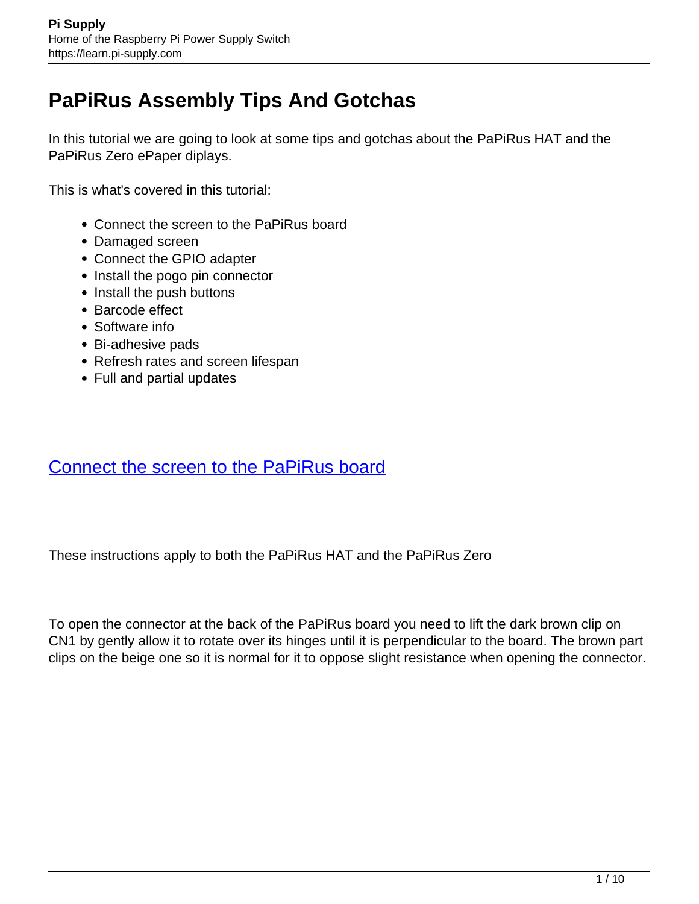# **PaPiRus Assembly Tips And Gotchas**

In this tutorial we are going to look at some tips and gotchas about the PaPiRus HAT and the PaPiRus Zero ePaper diplays.

This is what's covered in this tutorial:

- Connect the screen to the PaPiRus board
- Damaged screen
- Connect the GPIO adapter
- Install the pogo pin connector
- Install the push buttons
- Barcode effect
- Software info
- Bi-adhesive pads
- Refresh rates and screen lifespan
- Full and partial updates

## Connect the screen to the PaPiRus board

These instructions apply to both the PaPiRus HAT and the PaPiRus Zero

To open the connector at the back of the PaPiRus board you need to lift the dark brown clip on CN1 by gently allow it to rotate over its hinges until it is perpendicular to the board. The brown part clips on the beige one so it is normal for it to oppose slight resistance when opening the connector.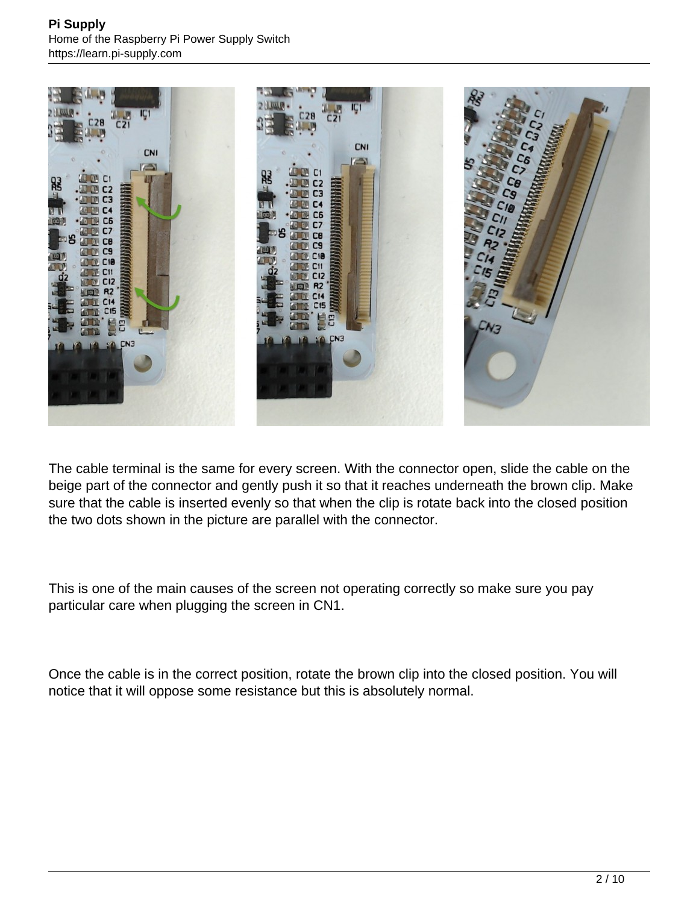

The cable terminal is the same for every screen. With the connector open, slide the cable on the beige part of the connector and gently push it so that it reaches underneath the brown clip. Make sure that the cable is inserted evenly so that when the clip is rotate back into the closed position the two dots shown in the picture are parallel with the connector.

This is one of the main causes of the screen not operating correctly so make sure you pay particular care when plugging the screen in CN1.

Once the cable is in the correct position, rotate the brown clip into the closed position. You will notice that it will oppose some resistance but this is absolutely normal.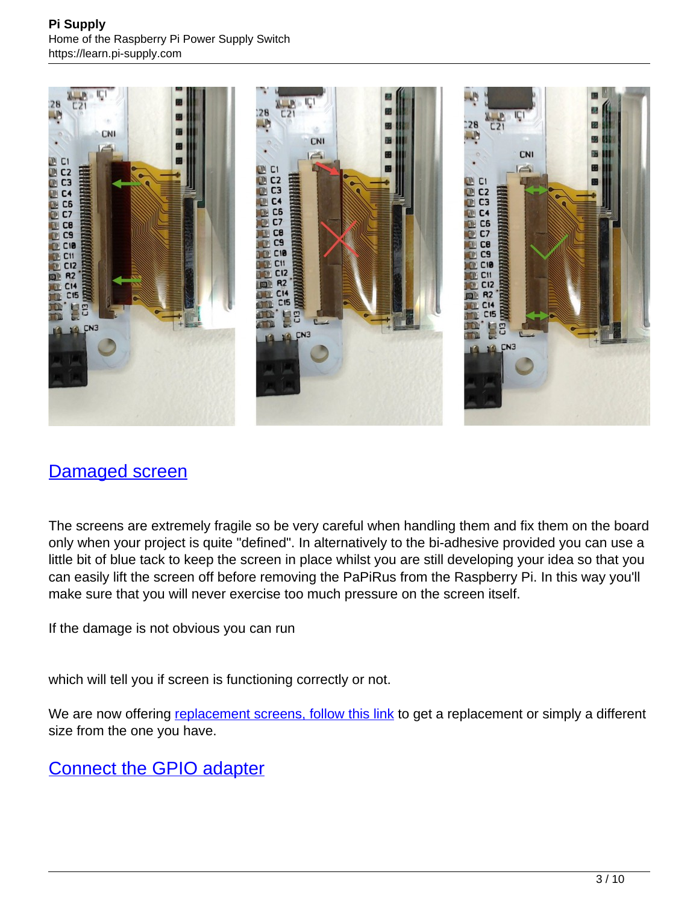

## Damaged screen

The screens are extremely fragile so be very careful when handling them and fix them on the board only when your project is quite "defined". In alternatively to the bi-adhesive provided you can use a little bit of blue tack to keep the screen in place whilst you are still developing your idea so that you can easily lift the screen off before removing the PaPiRus from the Raspberry Pi. In this way you'll make sure that you will never exercise too much pressure on the screen itself.

If the damage is not obvious you can run

which will tell you if screen is functioning correctly or not.

We are now offering [replacement screens, follow this link](https://learn.pi-supply.com/product/epaper-displays/) to get a replacement or simply a different size from the one you have.

Connect the GPIO adapter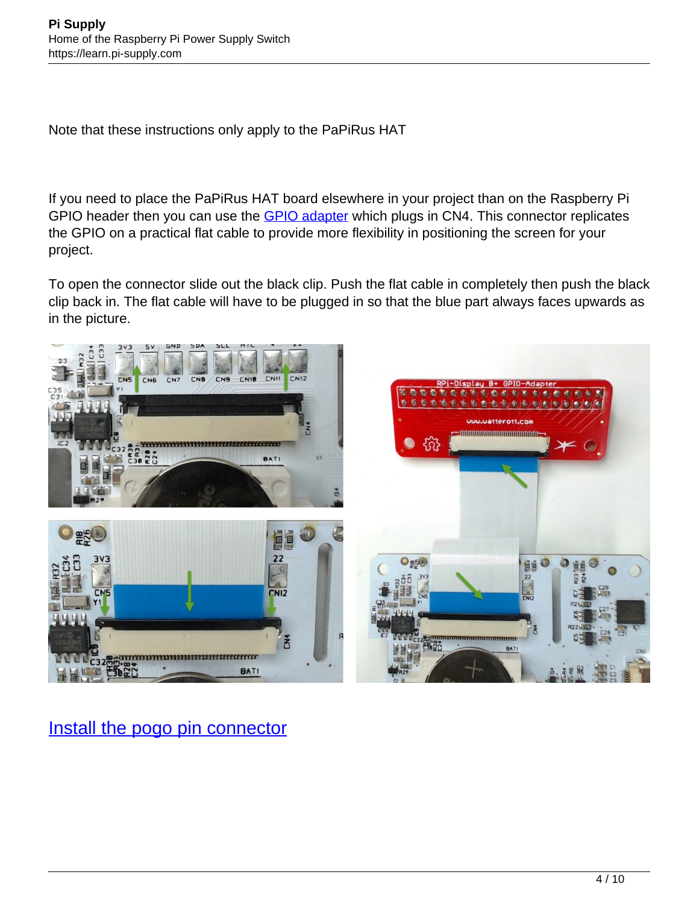Note that these instructions only apply to the PaPiRus HAT

If you need to place the PaPiRus HAT board elsewhere in your project than on the Raspberry Pi GPIO header then you can use the **GPIO adapter** which plugs in CN4. This connector replicates the GPIO on a practical flat cable to provide more flexibility in positioning the screen for your project.

To open the connector slide out the black clip. Push the flat cable in completely then push the black clip back in. The flat cable will have to be plugged in so that the blue part always faces upwards as in the picture.



# Install the pogo pin connector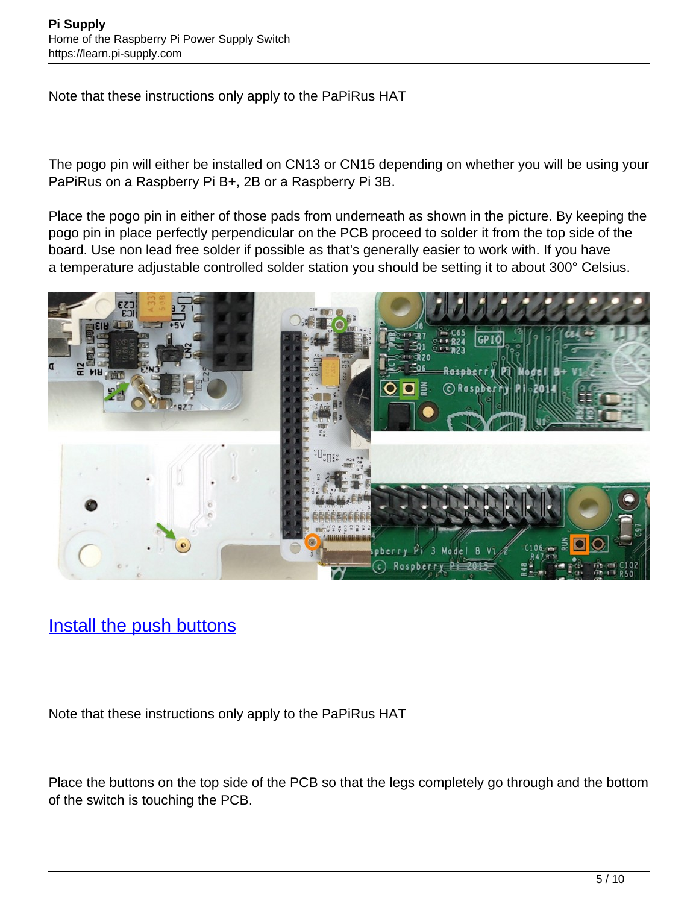Note that these instructions only apply to the PaPiRus HAT

The pogo pin will either be installed on CN13 or CN15 depending on whether you will be using your PaPiRus on a Raspberry Pi B+, 2B or a Raspberry Pi 3B.

Place the pogo pin in either of those pads from underneath as shown in the picture. By keeping the pogo pin in place perfectly perpendicular on the PCB proceed to solder it from the top side of the board. Use non lead free solder if possible as that's generally easier to work with. If you have a temperature adjustable controlled solder station you should be setting it to about 300° Celsius.



# Install the push buttons

Note that these instructions only apply to the PaPiRus HAT

Place the buttons on the top side of the PCB so that the legs completely go through and the bottom of the switch is touching the PCB.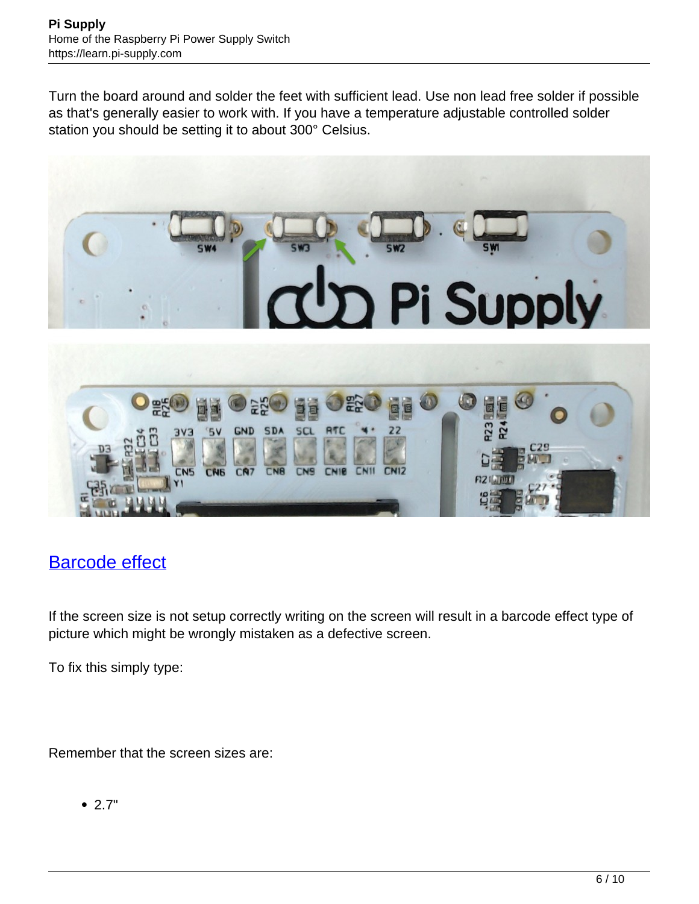Turn the board around and solder the feet with sufficient lead. Use non lead free solder if possible as that's generally easier to work with. If you have a temperature adjustable controlled solder station you should be setting it to about 300° Celsius.



# Barcode effect

If the screen size is not setup correctly writing on the screen will result in a barcode effect type of picture which might be wrongly mistaken as a defective screen.

To fix this simply type:

Remember that the screen sizes are:

2.7"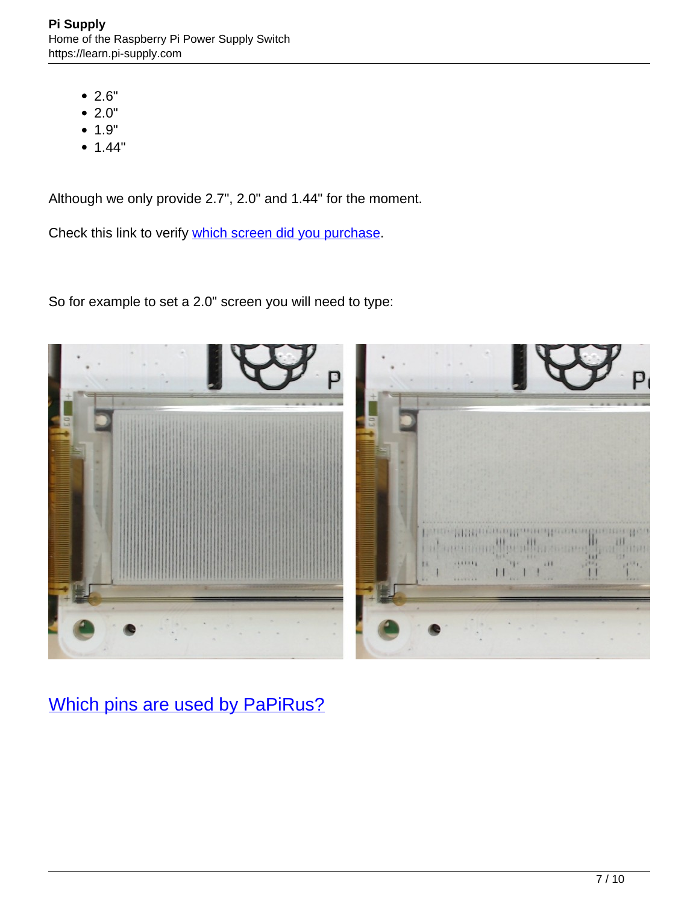- 2.6"
- $2.0"$
- $1.9"$
- 1.44"

Although we only provide 2.7", 2.0" and 1.44" for the moment.

Check this link to verify [which screen did you purchase](https://learn.pi-supply.com/product/epaper-displays/).

So for example to set a 2.0" screen you will need to type:



Which pins are used by PaPiRus?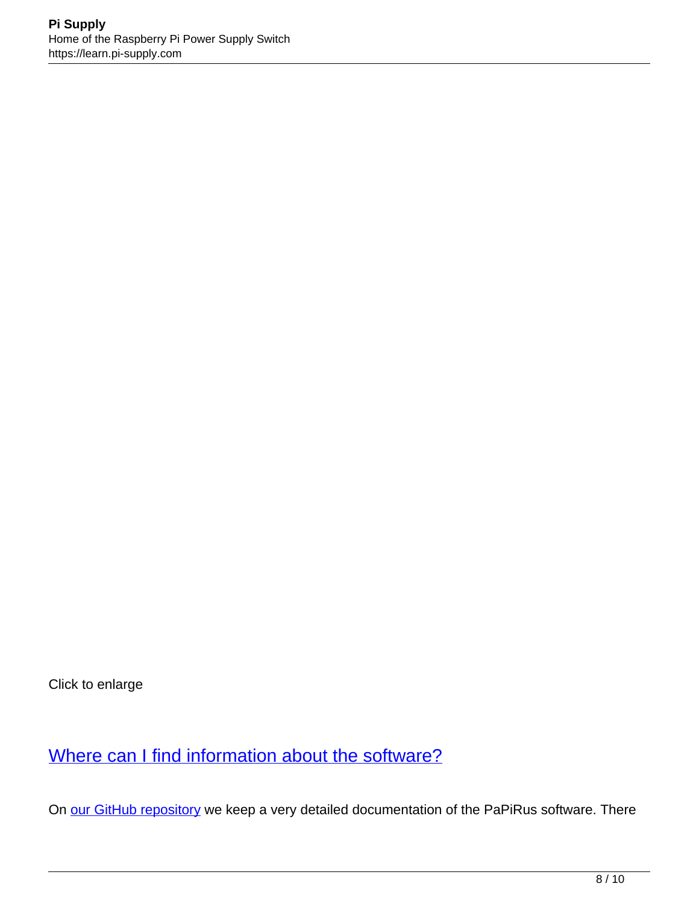Click to enlarge

Where can I find information about the software?

On [our GitHub repository](https://github.com/PiSupply/PaPiRus) we keep a very detailed documentation of the PaPiRus software. There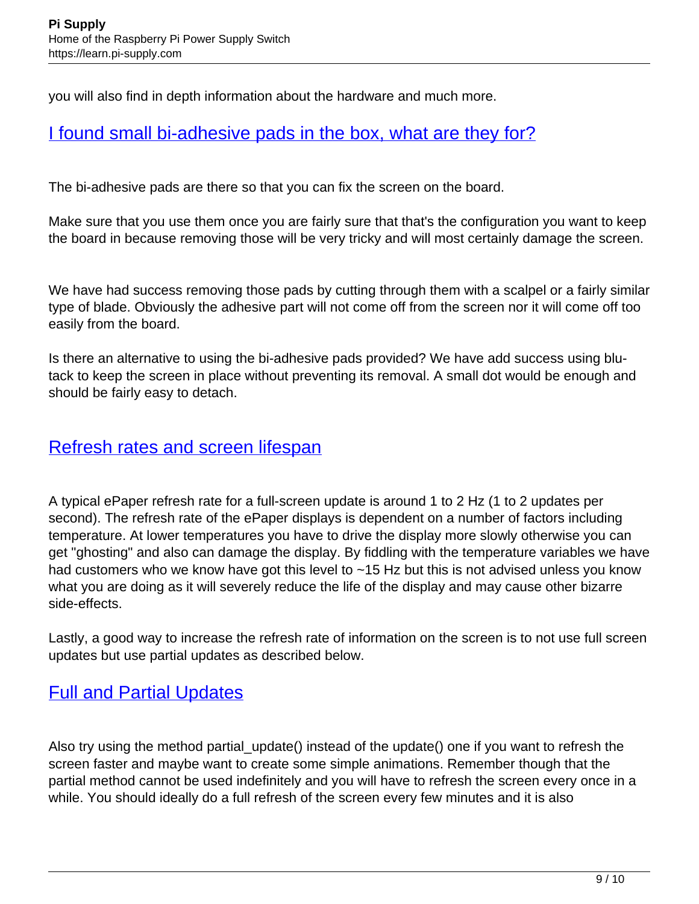you will also find in depth information about the hardware and much more.

#### I found small bi-adhesive pads in the box, what are they for?

The bi-adhesive pads are there so that you can fix the screen on the board.

Make sure that you use them once you are fairly sure that that's the configuration you want to keep the board in because removing those will be very tricky and will most certainly damage the screen.

We have had success removing those pads by cutting through them with a scalpel or a fairly similar type of blade. Obviously the adhesive part will not come off from the screen nor it will come off too easily from the board.

Is there an alternative to using the bi-adhesive pads provided? We have add success using blutack to keep the screen in place without preventing its removal. A small dot would be enough and should be fairly easy to detach.

#### Refresh rates and screen lifespan

A typical ePaper refresh rate for a full-screen update is around 1 to 2 Hz (1 to 2 updates per second). The refresh rate of the ePaper displays is dependent on a number of factors including temperature. At lower temperatures you have to drive the display more slowly otherwise you can get "ghosting" and also can damage the display. By fiddling with the temperature variables we have had customers who we know have got this level to ~15 Hz but this is not advised unless you know what you are doing as it will severely reduce the life of the display and may cause other bizarre side-effects.

Lastly, a good way to increase the refresh rate of information on the screen is to not use full screen updates but use partial updates as described below.

#### Full and Partial Updates

Also try using the method partial\_update() instead of the update() one if you want to refresh the screen faster and maybe want to create some simple animations. Remember though that the partial method cannot be used indefinitely and you will have to refresh the screen every once in a while. You should ideally do a full refresh of the screen every few minutes and it is also